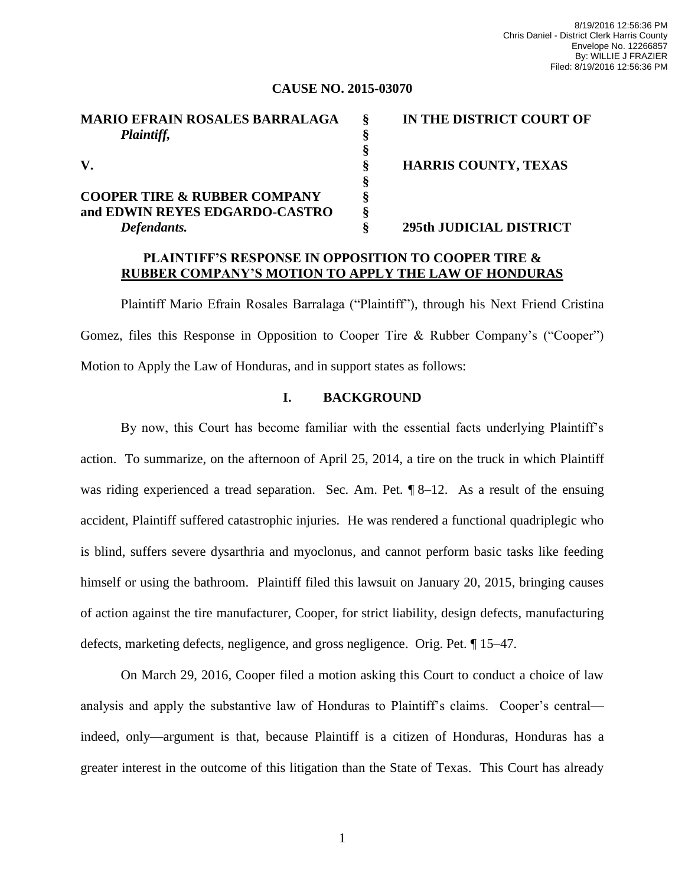#### **CAUSE NO. 2015-03070**

| <b>MARIO EFRAIN ROSALES BARRALAGA</b>   | IN THE DISTRICT COURT OF    |
|-----------------------------------------|-----------------------------|
| Plaintiff,                              |                             |
|                                         |                             |
| V.                                      | <b>HARRIS COUNTY, TEXAS</b> |
|                                         |                             |
| <b>COOPER TIRE &amp; RUBBER COMPANY</b> |                             |
| and EDWIN REYES EDGARDO-CASTRO          |                             |
| Defendants.                             | 295th JUDICIAL DISTRICT     |

## **PLAINTIFF'S RESPONSE IN OPPOSITION TO COOPER TIRE & RUBBER COMPANY'S MOTION TO APPLY THE LAW OF HONDURAS**

Plaintiff Mario Efrain Rosales Barralaga ("Plaintiff"), through his Next Friend Cristina Gomez, files this Response in Opposition to Cooper Tire & Rubber Company's ("Cooper") Motion to Apply the Law of Honduras, and in support states as follows:

## **I. BACKGROUND**

By now, this Court has become familiar with the essential facts underlying Plaintiff's action. To summarize, on the afternoon of April 25, 2014, a tire on the truck in which Plaintiff was riding experienced a tread separation. Sec. Am. Pet.  $\sqrt{8}$ –12. As a result of the ensuing accident, Plaintiff suffered catastrophic injuries. He was rendered a functional quadriplegic who is blind, suffers severe dysarthria and myoclonus, and cannot perform basic tasks like feeding himself or using the bathroom. Plaintiff filed this lawsuit on January 20, 2015, bringing causes of action against the tire manufacturer, Cooper, for strict liability, design defects, manufacturing defects, marketing defects, negligence, and gross negligence. Orig. Pet. ¶ 15–47.

On March 29, 2016, Cooper filed a motion asking this Court to conduct a choice of law analysis and apply the substantive law of Honduras to Plaintiff's claims. Cooper's central indeed, only—argument is that, because Plaintiff is a citizen of Honduras, Honduras has a greater interest in the outcome of this litigation than the State of Texas. This Court has already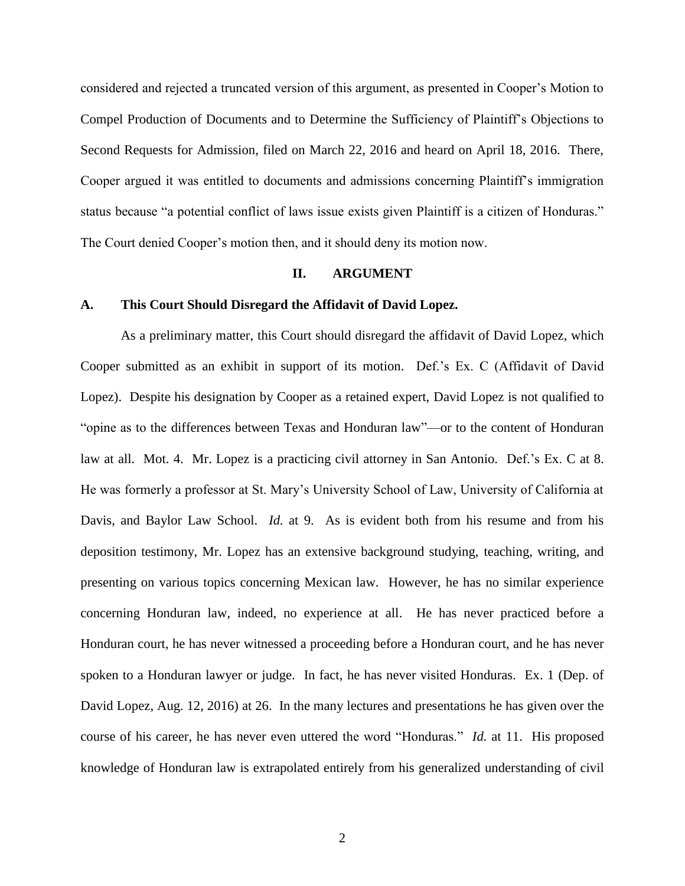considered and rejected a truncated version of this argument, as presented in Cooper's Motion to Compel Production of Documents and to Determine the Sufficiency of Plaintiff's Objections to Second Requests for Admission, filed on March 22, 2016 and heard on April 18, 2016. There, Cooper argued it was entitled to documents and admissions concerning Plaintiff's immigration status because "a potential conflict of laws issue exists given Plaintiff is a citizen of Honduras." The Court denied Cooper's motion then, and it should deny its motion now.

#### **II. ARGUMENT**

### **A. This Court Should Disregard the Affidavit of David Lopez.**

As a preliminary matter, this Court should disregard the affidavit of David Lopez, which Cooper submitted as an exhibit in support of its motion. Def.'s Ex. C (Affidavit of David Lopez). Despite his designation by Cooper as a retained expert, David Lopez is not qualified to "opine as to the differences between Texas and Honduran law"—or to the content of Honduran law at all. Mot. 4. Mr. Lopez is a practicing civil attorney in San Antonio. Def.'s Ex. C at 8. He was formerly a professor at St. Mary's University School of Law, University of California at Davis, and Baylor Law School. *Id.* at 9. As is evident both from his resume and from his deposition testimony, Mr. Lopez has an extensive background studying, teaching, writing, and presenting on various topics concerning Mexican law. However, he has no similar experience concerning Honduran law, indeed, no experience at all. He has never practiced before a Honduran court, he has never witnessed a proceeding before a Honduran court, and he has never spoken to a Honduran lawyer or judge. In fact, he has never visited Honduras. Ex. 1 (Dep. of David Lopez, Aug. 12, 2016) at 26. In the many lectures and presentations he has given over the course of his career, he has never even uttered the word "Honduras." *Id.* at 11. His proposed knowledge of Honduran law is extrapolated entirely from his generalized understanding of civil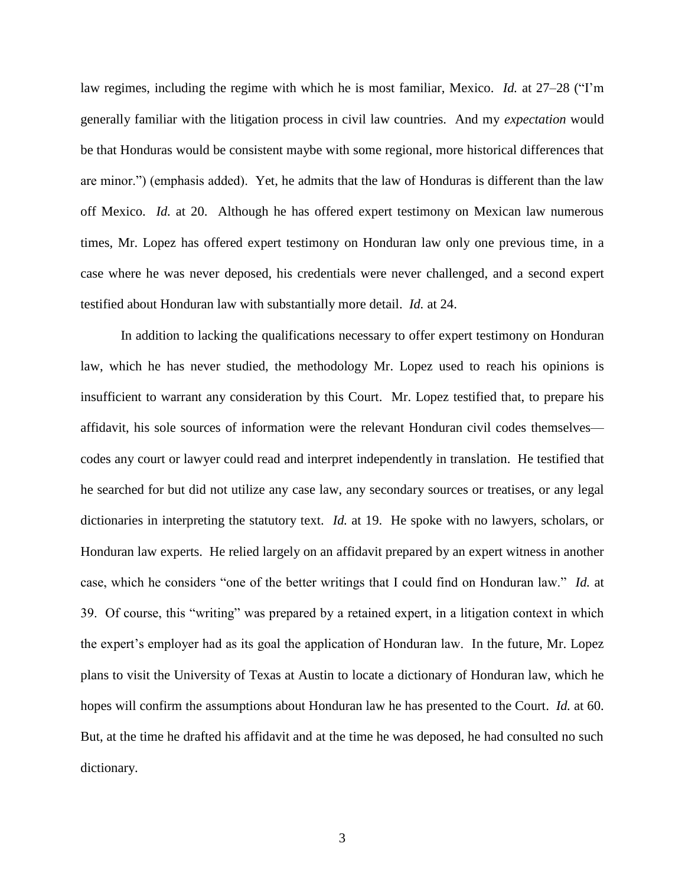law regimes, including the regime with which he is most familiar, Mexico. *Id.* at 27–28 ("I'm generally familiar with the litigation process in civil law countries. And my *expectation* would be that Honduras would be consistent maybe with some regional, more historical differences that are minor.") (emphasis added). Yet, he admits that the law of Honduras is different than the law off Mexico. *Id.* at 20. Although he has offered expert testimony on Mexican law numerous times, Mr. Lopez has offered expert testimony on Honduran law only one previous time, in a case where he was never deposed, his credentials were never challenged, and a second expert testified about Honduran law with substantially more detail. *Id.* at 24.

In addition to lacking the qualifications necessary to offer expert testimony on Honduran law, which he has never studied, the methodology Mr. Lopez used to reach his opinions is insufficient to warrant any consideration by this Court. Mr. Lopez testified that, to prepare his affidavit, his sole sources of information were the relevant Honduran civil codes themselves codes any court or lawyer could read and interpret independently in translation. He testified that he searched for but did not utilize any case law, any secondary sources or treatises, or any legal dictionaries in interpreting the statutory text. *Id.* at 19. He spoke with no lawyers, scholars, or Honduran law experts. He relied largely on an affidavit prepared by an expert witness in another case, which he considers "one of the better writings that I could find on Honduran law." *Id.* at 39. Of course, this "writing" was prepared by a retained expert, in a litigation context in which the expert's employer had as its goal the application of Honduran law. In the future, Mr. Lopez plans to visit the University of Texas at Austin to locate a dictionary of Honduran law, which he hopes will confirm the assumptions about Honduran law he has presented to the Court. *Id.* at 60. But, at the time he drafted his affidavit and at the time he was deposed, he had consulted no such dictionary.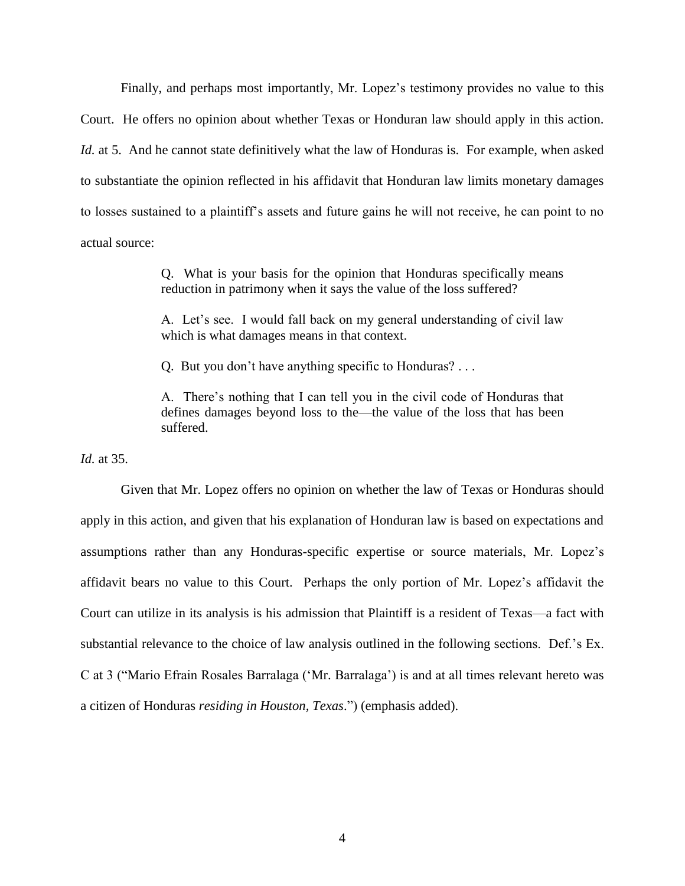Finally, and perhaps most importantly, Mr. Lopez's testimony provides no value to this Court. He offers no opinion about whether Texas or Honduran law should apply in this action. *Id.* at 5. And he cannot state definitively what the law of Honduras is. For example, when asked to substantiate the opinion reflected in his affidavit that Honduran law limits monetary damages to losses sustained to a plaintiff's assets and future gains he will not receive, he can point to no actual source:

> Q. What is your basis for the opinion that Honduras specifically means reduction in patrimony when it says the value of the loss suffered?

> A. Let's see. I would fall back on my general understanding of civil law which is what damages means in that context.

Q. But you don't have anything specific to Honduras? . . .

A. There's nothing that I can tell you in the civil code of Honduras that defines damages beyond loss to the—the value of the loss that has been suffered.

*Id.* at 35.

Given that Mr. Lopez offers no opinion on whether the law of Texas or Honduras should apply in this action, and given that his explanation of Honduran law is based on expectations and assumptions rather than any Honduras-specific expertise or source materials, Mr. Lopez's affidavit bears no value to this Court. Perhaps the only portion of Mr. Lopez's affidavit the Court can utilize in its analysis is his admission that Plaintiff is a resident of Texas—a fact with substantial relevance to the choice of law analysis outlined in the following sections. Def.'s Ex. C at 3 ("Mario Efrain Rosales Barralaga ('Mr. Barralaga') is and at all times relevant hereto was a citizen of Honduras *residing in Houston, Texas*.") (emphasis added).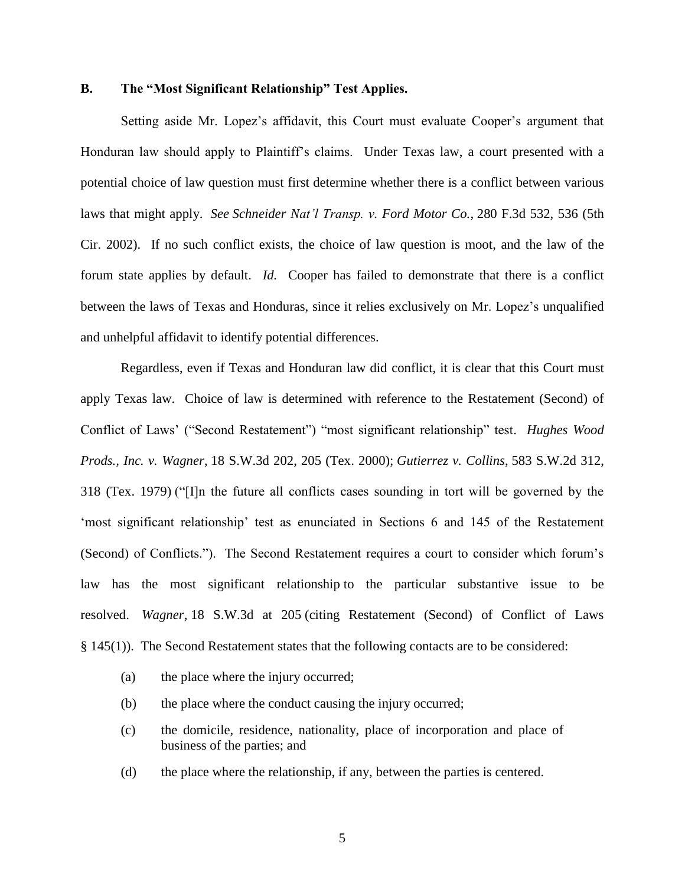### **B. The "Most Significant Relationship" Test Applies.**

Setting aside Mr. Lopez's affidavit, this Court must evaluate Cooper's argument that Honduran law should apply to Plaintiff's claims. Under Texas law, a court presented with a potential choice of law question must first determine whether there is a conflict between various laws that might apply. *See Schneider Nat'l Transp. v. Ford Motor Co.*, 280 F.3d 532, 536 (5th Cir. 2002). If no such conflict exists, the choice of law question is moot, and the law of the forum state applies by default. *Id.* Cooper has failed to demonstrate that there is a conflict between the laws of Texas and Honduras, since it relies exclusively on Mr. Lopez's unqualified and unhelpful affidavit to identify potential differences.

Regardless, even if Texas and Honduran law did conflict, it is clear that this Court must apply Texas law. Choice of law is determined with reference to the Restatement (Second) of Conflict of Laws' ("Second Restatement") "most significant relationship" test. *Hughes Wood Prods., Inc. v. Wagner*, 18 S.W.3d 202, 205 (Tex. 2000); *Gutierrez v. Collins*, 583 S.W.2d 312, 318 (Tex. 1979) ("[I]n the future all conflicts cases sounding in tort will be governed by the 'most significant relationship' test as enunciated in Sections 6 and 145 of the Restatement (Second) of Conflicts."). The Second Restatement requires a court to consider which forum's law has the most significant relationship to the particular substantive issue to be resolved. *Wagner*, 18 S.W.3d at 205 (citing Restatement (Second) of Conflict of Laws § 145(1)). The Second Restatement states that the following contacts are to be considered:

- (a) the place where the injury occurred;
- (b) the place where the conduct causing the injury occurred;
- (c) the domicile, residence, nationality, place of incorporation and place of business of the parties; and
- (d) the place where the relationship, if any, between the parties is centered.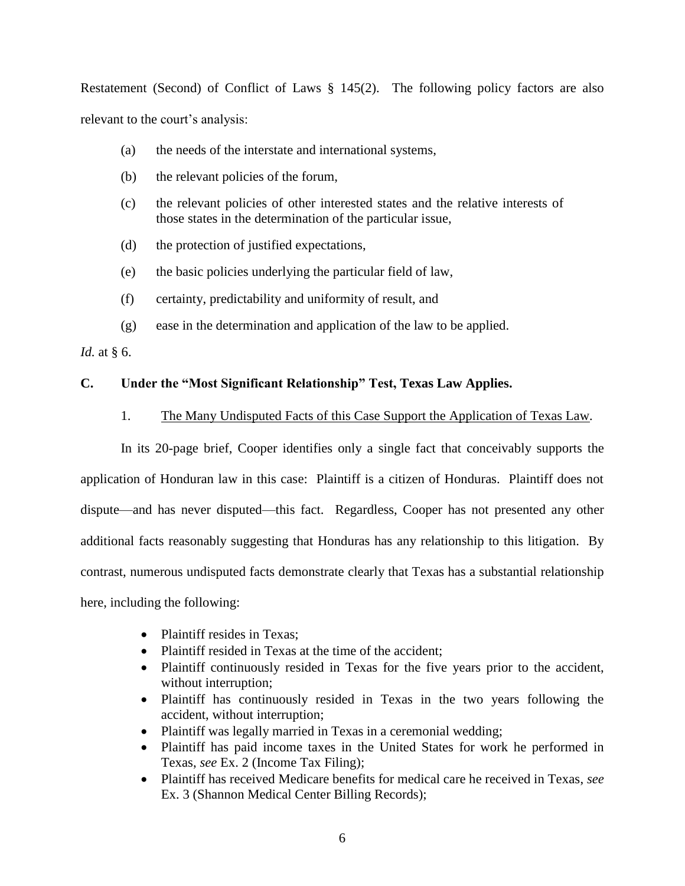Restatement (Second) of Conflict of Laws § 145(2). The following policy factors are also relevant to the court's analysis:

- (a) the needs of the interstate and international systems,
- (b) the relevant policies of the forum,
- (c) the relevant policies of other interested states and the relative interests of those states in the determination of the particular issue,
- (d) the protection of justified expectations,
- (e) the basic policies underlying the particular field of law,
- (f) certainty, predictability and uniformity of result, and
- (g) ease in the determination and application of the law to be applied.

*Id.* at § 6.

# **C. Under the "Most Significant Relationship" Test, Texas Law Applies.**

## 1. The Many Undisputed Facts of this Case Support the Application of Texas Law*.*

In its 20-page brief, Cooper identifies only a single fact that conceivably supports the application of Honduran law in this case: Plaintiff is a citizen of Honduras. Plaintiff does not dispute—and has never disputed—this fact. Regardless, Cooper has not presented any other additional facts reasonably suggesting that Honduras has any relationship to this litigation. By contrast, numerous undisputed facts demonstrate clearly that Texas has a substantial relationship here, including the following:

- Plaintiff resides in Texas;
- Plaintiff resided in Texas at the time of the accident;
- Plaintiff continuously resided in Texas for the five years prior to the accident, without interruption;
- Plaintiff has continuously resided in Texas in the two years following the accident, without interruption;
- Plaintiff was legally married in Texas in a ceremonial wedding;
- Plaintiff has paid income taxes in the United States for work he performed in Texas, *see* Ex. 2 (Income Tax Filing);
- Plaintiff has received Medicare benefits for medical care he received in Texas, *see*  Ex. 3 (Shannon Medical Center Billing Records);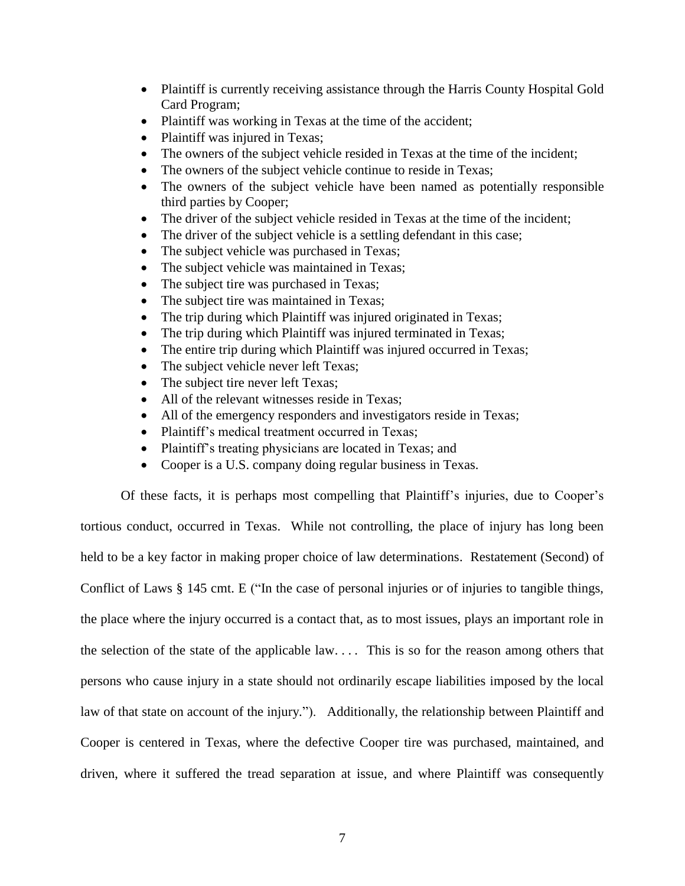- Plaintiff is currently receiving assistance through the Harris County Hospital Gold Card Program;
- Plaintiff was working in Texas at the time of the accident;
- Plaintiff was injured in Texas;
- The owners of the subject vehicle resided in Texas at the time of the incident;
- The owners of the subject vehicle continue to reside in Texas;
- The owners of the subject vehicle have been named as potentially responsible third parties by Cooper;
- The driver of the subject vehicle resided in Texas at the time of the incident;
- The driver of the subject vehicle is a settling defendant in this case;
- The subject vehicle was purchased in Texas;
- The subject vehicle was maintained in Texas;
- The subject tire was purchased in Texas;
- The subject tire was maintained in Texas;
- The trip during which Plaintiff was injured originated in Texas;
- The trip during which Plaintiff was injured terminated in Texas;
- The entire trip during which Plaintiff was injured occurred in Texas;
- The subject vehicle never left Texas;
- The subject tire never left Texas;
- All of the relevant witnesses reside in Texas;
- All of the emergency responders and investigators reside in Texas;
- Plaintiff's medical treatment occurred in Texas;
- Plaintiff's treating physicians are located in Texas; and
- Cooper is a U.S. company doing regular business in Texas.

Of these facts, it is perhaps most compelling that Plaintiff's injuries, due to Cooper's tortious conduct, occurred in Texas. While not controlling, the place of injury has long been held to be a key factor in making proper choice of law determinations. Restatement (Second) of Conflict of Laws § 145 cmt. E ("In the case of personal injuries or of injuries to tangible things, the place where the injury occurred is a contact that, as to most issues, plays an important role in the selection of the state of the applicable law. . . . This is so for the reason among others that persons who cause injury in a state should not ordinarily escape liabilities imposed by the local law of that state on account of the injury."). Additionally, the relationship between Plaintiff and Cooper is centered in Texas, where the defective Cooper tire was purchased, maintained, and driven, where it suffered the tread separation at issue, and where Plaintiff was consequently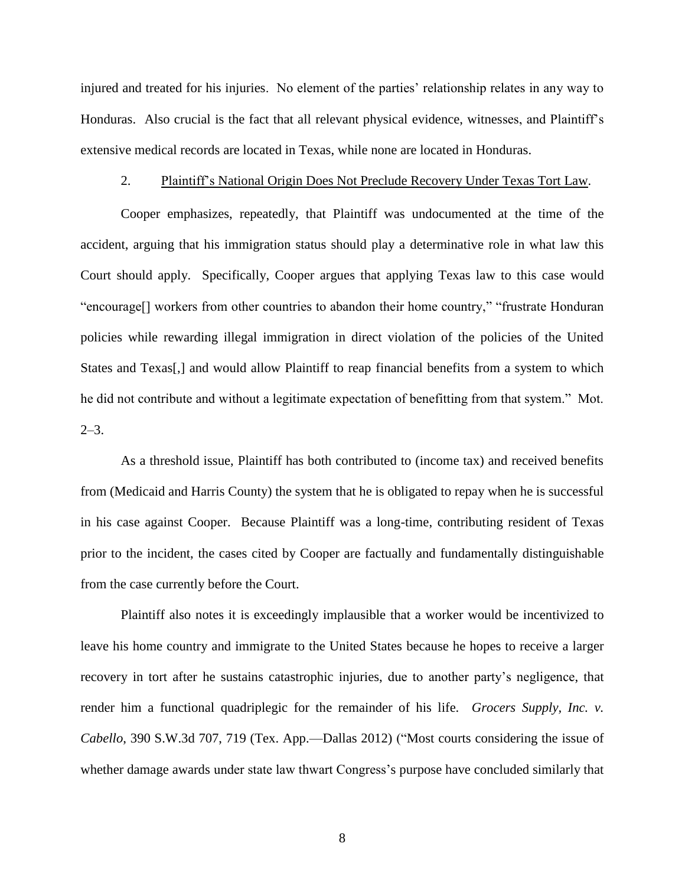injured and treated for his injuries. No element of the parties' relationship relates in any way to Honduras. Also crucial is the fact that all relevant physical evidence, witnesses, and Plaintiff's extensive medical records are located in Texas, while none are located in Honduras.

#### 2. Plaintiff's National Origin Does Not Preclude Recovery Under Texas Tort Law*.*

Cooper emphasizes, repeatedly, that Plaintiff was undocumented at the time of the accident, arguing that his immigration status should play a determinative role in what law this Court should apply. Specifically, Cooper argues that applying Texas law to this case would "encourage[] workers from other countries to abandon their home country," "frustrate Honduran policies while rewarding illegal immigration in direct violation of the policies of the United States and Texas[,] and would allow Plaintiff to reap financial benefits from a system to which he did not contribute and without a legitimate expectation of benefitting from that system." Mot.  $2-3.$ 

As a threshold issue, Plaintiff has both contributed to (income tax) and received benefits from (Medicaid and Harris County) the system that he is obligated to repay when he is successful in his case against Cooper. Because Plaintiff was a long-time, contributing resident of Texas prior to the incident, the cases cited by Cooper are factually and fundamentally distinguishable from the case currently before the Court.

Plaintiff also notes it is exceedingly implausible that a worker would be incentivized to leave his home country and immigrate to the United States because he hopes to receive a larger recovery in tort after he sustains catastrophic injuries, due to another party's negligence, that render him a functional quadriplegic for the remainder of his life. *Grocers Supply, Inc. v. Cabello*, 390 S.W.3d 707, 719 (Tex. App.—Dallas 2012) ("Most courts considering the issue of whether damage awards under state law thwart Congress's purpose have concluded similarly that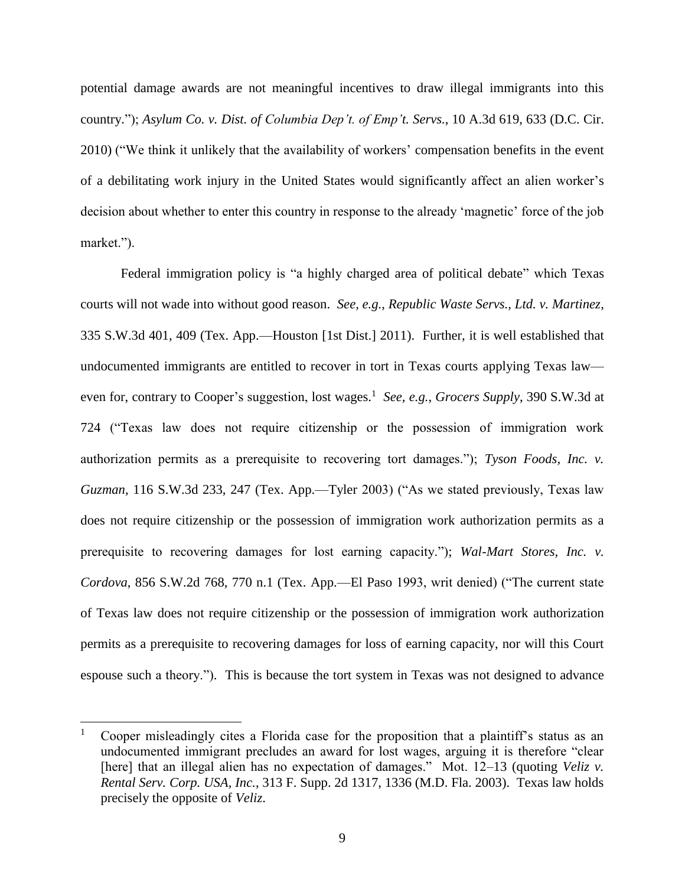potential damage awards are not meaningful incentives to draw illegal immigrants into this country."); *Asylum Co. v. Dist. of Columbia Dep't. of Emp't. Servs.*, 10 A.3d 619, 633 (D.C. Cir. 2010) ("We think it unlikely that the availability of workers' compensation benefits in the event of a debilitating work injury in the United States would significantly affect an alien worker's decision about whether to enter this country in response to the already 'magnetic' force of the job market.").

Federal immigration policy is "a highly charged area of political debate" which Texas courts will not wade into without good reason. *See, e.g.*, *Republic Waste Servs., Ltd. v. Martinez*, 335 S.W.3d 401, 409 (Tex. App.—Houston [1st Dist.] 2011). Further, it is well established that undocumented immigrants are entitled to recover in tort in Texas courts applying Texas law even for, contrary to Cooper's suggestion, lost wages.<sup>1</sup> See, e.g., Grocers Supply, 390 S.W.3d at 724 ("Texas law does not require citizenship or the possession of immigration work authorization permits as a prerequisite to recovering tort damages."); *Tyson Foods, Inc. v. Guzman*, 116 S.W.3d 233, 247 (Tex. App.—Tyler 2003) ("As we stated previously, Texas law does not require citizenship or the possession of immigration work authorization permits as a prerequisite to recovering damages for lost earning capacity."); *Wal-Mart Stores, Inc. v. Cordova*, 856 S.W.2d 768, 770 n.1 (Tex. App.—El Paso 1993, writ denied) ("The current state of Texas law does not require citizenship or the possession of immigration work authorization permits as a prerequisite to recovering damages for loss of earning capacity, nor will this Court espouse such a theory."). This is because the tort system in Texas was not designed to advance

l

<sup>1</sup> Cooper misleadingly cites a Florida case for the proposition that a plaintiff's status as an undocumented immigrant precludes an award for lost wages, arguing it is therefore "clear [here] that an illegal alien has no expectation of damages." Mot. 12–13 (quoting *Veliz v. Rental Serv. Corp. USA, Inc.*, 313 F. Supp. 2d 1317, 1336 (M.D. Fla. 2003). Texas law holds precisely the opposite of *Veliz*.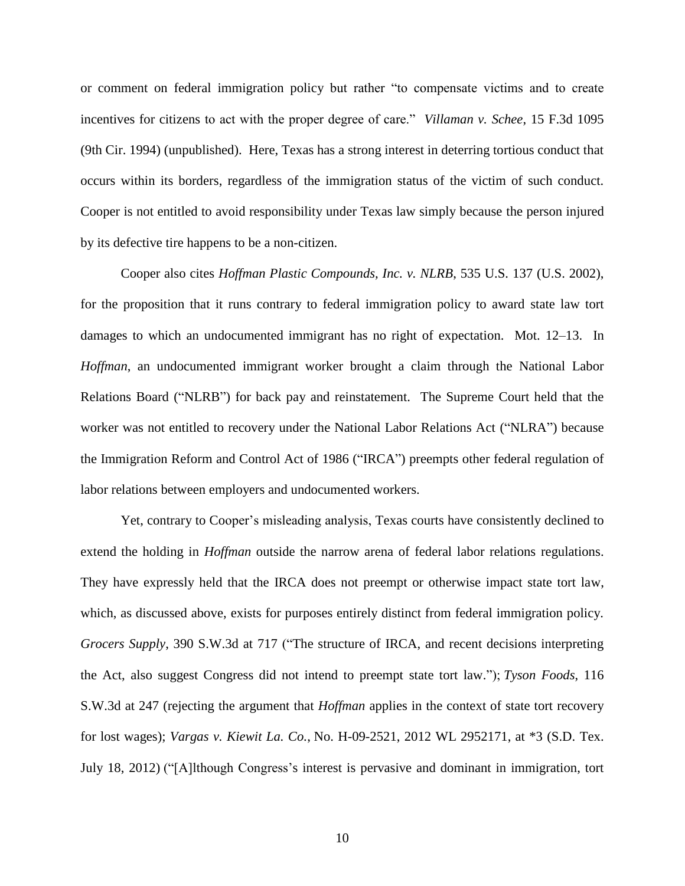or comment on federal immigration policy but rather "to compensate victims and to create incentives for citizens to act with the proper degree of care." *Villaman v. Schee*, 15 F.3d 1095 (9th Cir. 1994) (unpublished). Here, Texas has a strong interest in deterring tortious conduct that occurs within its borders, regardless of the immigration status of the victim of such conduct. Cooper is not entitled to avoid responsibility under Texas law simply because the person injured by its defective tire happens to be a non-citizen.

Cooper also cites *Hoffman Plastic Compounds, Inc. v. NLRB*, 535 U.S. 137 (U.S. 2002), for the proposition that it runs contrary to federal immigration policy to award state law tort damages to which an undocumented immigrant has no right of expectation. Mot. 12–13. In *Hoffman*, an undocumented immigrant worker brought a claim through the National Labor Relations Board ("NLRB") for back pay and reinstatement. The Supreme Court held that the worker was not entitled to recovery under the National Labor Relations Act ("NLRA") because the Immigration Reform and Control Act of 1986 ("IRCA") preempts other federal regulation of labor relations between employers and undocumented workers.

Yet, contrary to Cooper's misleading analysis, Texas courts have consistently declined to extend the holding in *Hoffman* outside the narrow arena of federal labor relations regulations. They have expressly held that the IRCA does not preempt or otherwise impact state tort law, which, as discussed above, exists for purposes entirely distinct from federal immigration policy. *Grocers Supply*, 390 S.W.3d at 717 ("The structure of IRCA, and recent decisions interpreting the Act, also suggest Congress did not intend to preempt state tort law."); *Tyson Foods*, 116 S.W.3d at 247 (rejecting the argument that *Hoffman* applies in the context of state tort recovery for lost wages); *Vargas v. Kiewit La. Co.*, No. H-09-2521, 2012 WL 2952171, at \*3 (S.D. Tex. July 18, 2012) ("[A]lthough Congress's interest is pervasive and dominant in immigration, tort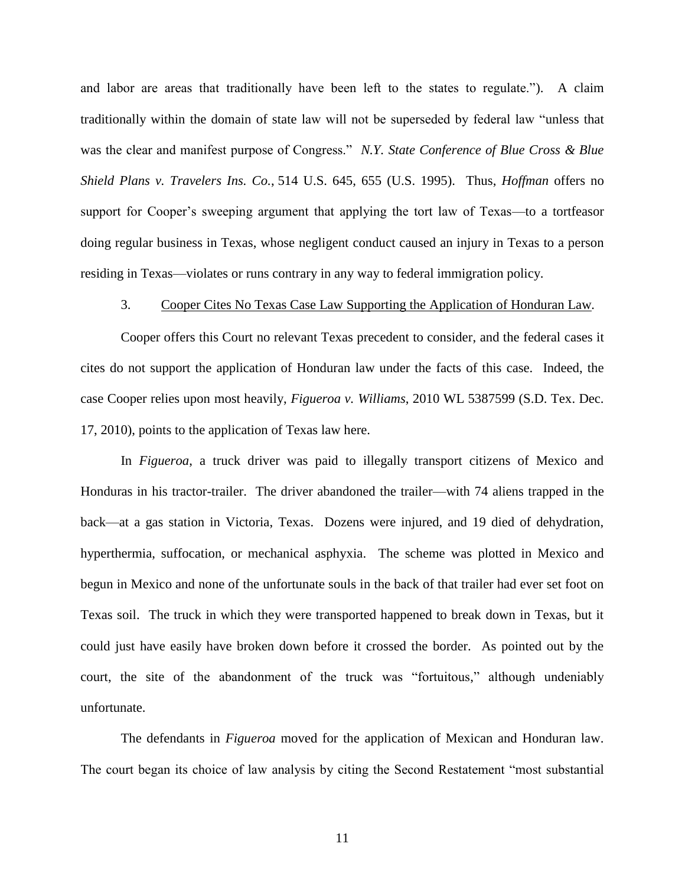and labor are areas that traditionally have been left to the states to regulate."). A claim traditionally within the domain of state law will not be superseded by federal law "unless that was the clear and manifest purpose of Congress." *N.Y. State Conference of Blue Cross & Blue Shield Plans v. Travelers Ins. Co.*, 514 U.S. 645, 655 (U.S. 1995). Thus, *Hoffman* offers no support for Cooper's sweeping argument that applying the tort law of Texas—to a tortfeasor doing regular business in Texas, whose negligent conduct caused an injury in Texas to a person residing in Texas—violates or runs contrary in any way to federal immigration policy.

#### 3. Cooper Cites No Texas Case Law Supporting the Application of Honduran Law*.*

Cooper offers this Court no relevant Texas precedent to consider, and the federal cases it cites do not support the application of Honduran law under the facts of this case. Indeed, the case Cooper relies upon most heavily, *Figueroa v. Williams*, 2010 WL 5387599 (S.D. Tex. Dec. 17, 2010), points to the application of Texas law here.

In *Figueroa*, a truck driver was paid to illegally transport citizens of Mexico and Honduras in his tractor-trailer. The driver abandoned the trailer—with 74 aliens trapped in the back—at a gas station in Victoria, Texas. Dozens were injured, and 19 died of dehydration, hyperthermia, suffocation, or mechanical asphyxia. The scheme was plotted in Mexico and begun in Mexico and none of the unfortunate souls in the back of that trailer had ever set foot on Texas soil. The truck in which they were transported happened to break down in Texas, but it could just have easily have broken down before it crossed the border. As pointed out by the court, the site of the abandonment of the truck was "fortuitous," although undeniably unfortunate.

The defendants in *Figueroa* moved for the application of Mexican and Honduran law. The court began its choice of law analysis by citing the Second Restatement "most substantial

11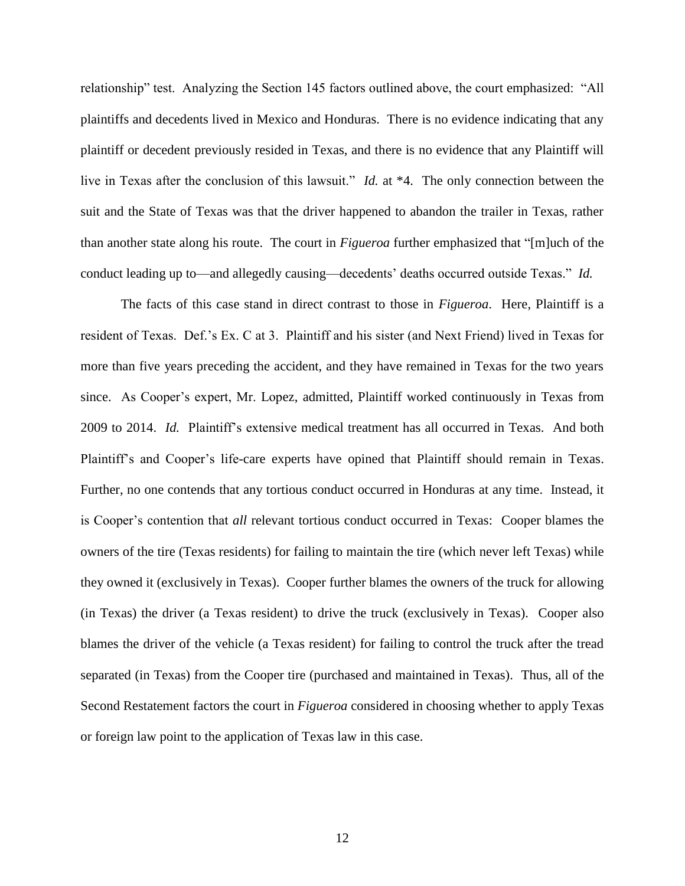relationship" test. Analyzing the Section 145 factors outlined above, the court emphasized: "All plaintiffs and decedents lived in Mexico and Honduras. There is no evidence indicating that any plaintiff or decedent previously resided in Texas, and there is no evidence that any Plaintiff will live in Texas after the conclusion of this lawsuit." *Id.* at \*4. The only connection between the suit and the State of Texas was that the driver happened to abandon the trailer in Texas, rather than another state along his route. The court in *Figueroa* further emphasized that "[m]uch of the conduct leading up to—and allegedly causing—decedents' deaths occurred outside Texas." *Id.*

The facts of this case stand in direct contrast to those in *Figueroa*. Here, Plaintiff is a resident of Texas. Def.'s Ex. C at 3. Plaintiff and his sister (and Next Friend) lived in Texas for more than five years preceding the accident, and they have remained in Texas for the two years since. As Cooper's expert, Mr. Lopez, admitted, Plaintiff worked continuously in Texas from 2009 to 2014. *Id.* Plaintiff's extensive medical treatment has all occurred in Texas. And both Plaintiff's and Cooper's life-care experts have opined that Plaintiff should remain in Texas. Further, no one contends that any tortious conduct occurred in Honduras at any time. Instead, it is Cooper's contention that *all* relevant tortious conduct occurred in Texas: Cooper blames the owners of the tire (Texas residents) for failing to maintain the tire (which never left Texas) while they owned it (exclusively in Texas). Cooper further blames the owners of the truck for allowing (in Texas) the driver (a Texas resident) to drive the truck (exclusively in Texas). Cooper also blames the driver of the vehicle (a Texas resident) for failing to control the truck after the tread separated (in Texas) from the Cooper tire (purchased and maintained in Texas). Thus, all of the Second Restatement factors the court in *Figueroa* considered in choosing whether to apply Texas or foreign law point to the application of Texas law in this case.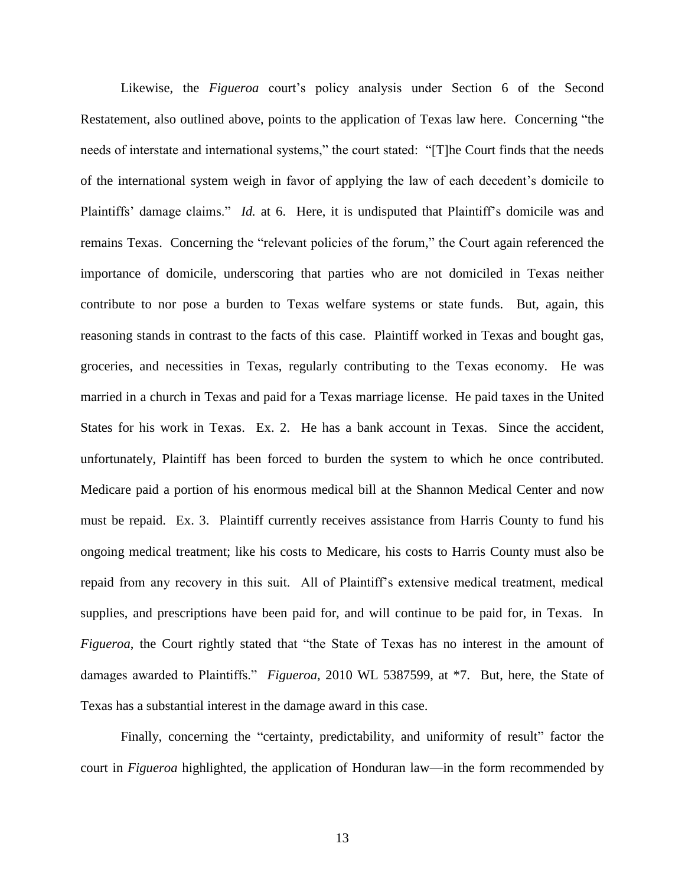Likewise, the *Figueroa* court's policy analysis under Section 6 of the Second Restatement, also outlined above, points to the application of Texas law here. Concerning "the needs of interstate and international systems," the court stated: "[T]he Court finds that the needs of the international system weigh in favor of applying the law of each decedent's domicile to Plaintiffs' damage claims." *Id.* at 6. Here, it is undisputed that Plaintiff's domicile was and remains Texas. Concerning the "relevant policies of the forum," the Court again referenced the importance of domicile, underscoring that parties who are not domiciled in Texas neither contribute to nor pose a burden to Texas welfare systems or state funds. But, again, this reasoning stands in contrast to the facts of this case. Plaintiff worked in Texas and bought gas, groceries, and necessities in Texas, regularly contributing to the Texas economy. He was married in a church in Texas and paid for a Texas marriage license. He paid taxes in the United States for his work in Texas. Ex. 2. He has a bank account in Texas. Since the accident, unfortunately, Plaintiff has been forced to burden the system to which he once contributed. Medicare paid a portion of his enormous medical bill at the Shannon Medical Center and now must be repaid. Ex. 3. Plaintiff currently receives assistance from Harris County to fund his ongoing medical treatment; like his costs to Medicare, his costs to Harris County must also be repaid from any recovery in this suit. All of Plaintiff's extensive medical treatment, medical supplies, and prescriptions have been paid for, and will continue to be paid for, in Texas. In *Figueroa*, the Court rightly stated that "the State of Texas has no interest in the amount of damages awarded to Plaintiffs." *Figueroa*, 2010 WL 5387599, at \*7. But, here, the State of Texas has a substantial interest in the damage award in this case.

Finally, concerning the "certainty, predictability, and uniformity of result" factor the court in *Figueroa* highlighted, the application of Honduran law—in the form recommended by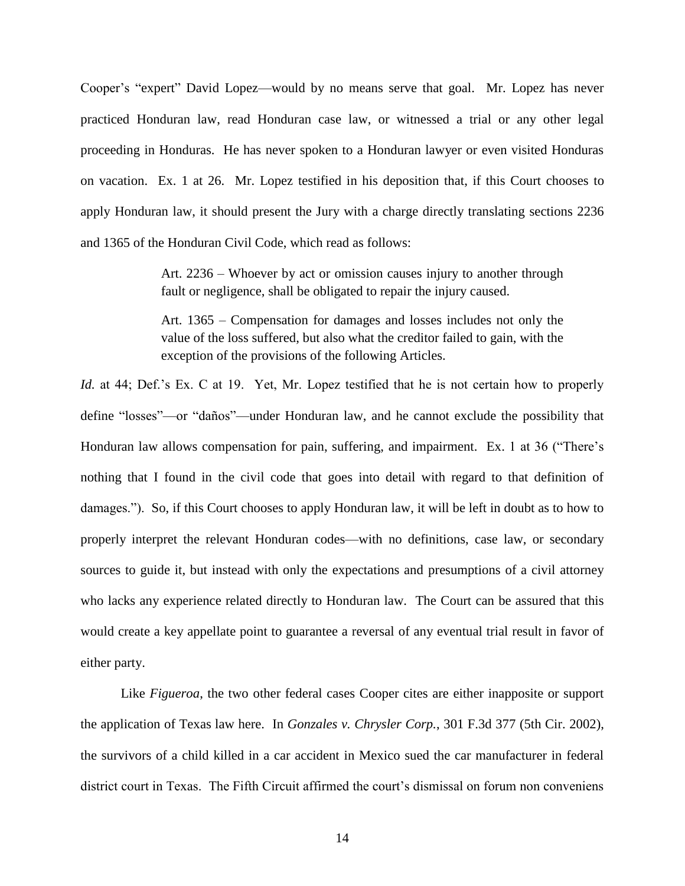Cooper's "expert" David Lopez—would by no means serve that goal. Mr. Lopez has never practiced Honduran law, read Honduran case law, or witnessed a trial or any other legal proceeding in Honduras. He has never spoken to a Honduran lawyer or even visited Honduras on vacation. Ex. 1 at 26. Mr. Lopez testified in his deposition that, if this Court chooses to apply Honduran law, it should present the Jury with a charge directly translating sections 2236 and 1365 of the Honduran Civil Code, which read as follows:

> Art. 2236 – Whoever by act or omission causes injury to another through fault or negligence, shall be obligated to repair the injury caused.

> Art. 1365 – Compensation for damages and losses includes not only the value of the loss suffered, but also what the creditor failed to gain, with the exception of the provisions of the following Articles.

*Id.* at 44; Def.'s Ex. C at 19. Yet, Mr. Lopez testified that he is not certain how to properly define "losses"—or "daños"—under Honduran law, and he cannot exclude the possibility that Honduran law allows compensation for pain, suffering, and impairment. Ex. 1 at 36 ("There's nothing that I found in the civil code that goes into detail with regard to that definition of damages."). So, if this Court chooses to apply Honduran law, it will be left in doubt as to how to properly interpret the relevant Honduran codes—with no definitions, case law, or secondary sources to guide it, but instead with only the expectations and presumptions of a civil attorney who lacks any experience related directly to Honduran law. The Court can be assured that this would create a key appellate point to guarantee a reversal of any eventual trial result in favor of either party.

Like *Figueroa*, the two other federal cases Cooper cites are either inapposite or support the application of Texas law here. In *Gonzales v. Chrysler Corp.*, 301 F.3d 377 (5th Cir. 2002), the survivors of a child killed in a car accident in Mexico sued the car manufacturer in federal district court in Texas. The Fifth Circuit affirmed the court's dismissal on forum non conveniens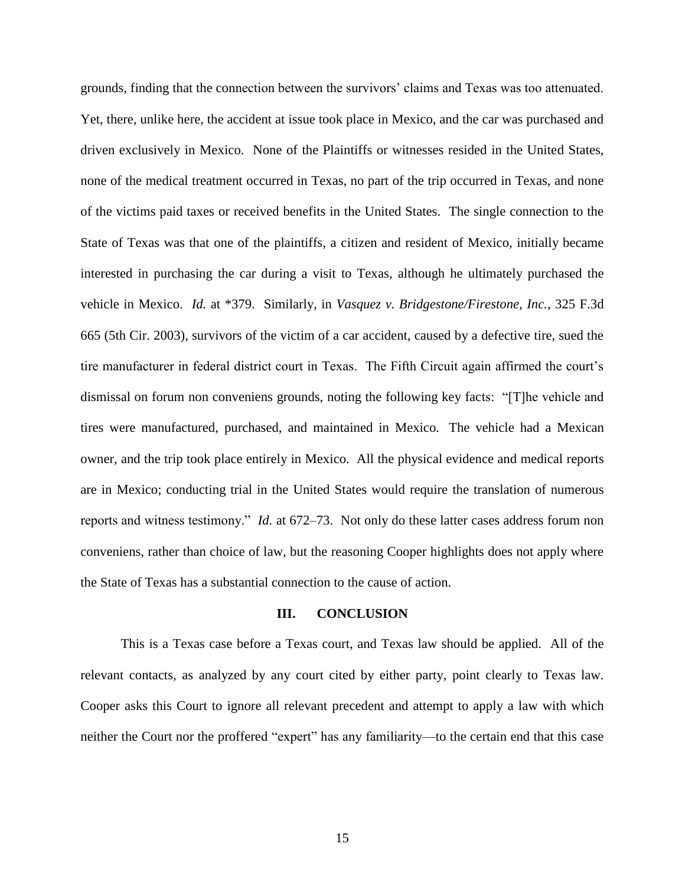grounds, finding that the connection between the survivors' claims and Texas was too attenuated. Yet, there, unlike here, the accident at issue took place in Mexico, and the car was purchased and driven exclusively in Mexico. None of the Plaintiffs or witnesses resided in the United States, none of the medical treatment occurred in Texas, no part of the trip occurred in Texas, and none of the victims paid taxes or received benefits in the United States. The single connection to the State of Texas was that one of the plaintiffs, a citizen and resident of Mexico, initially became interested in purchasing the car during a visit to Texas, although he ultimately purchased the vehicle in Mexico. *Id.* at \*379. Similarly, in *Vasquez v. Bridgestone/Firestone, Inc.*, 325 F.3d 665 (5th Cir. 2003), survivors of the victim of a car accident, caused by a defective tire, sued the tire manufacturer in federal district court in Texas. The Fifth Circuit again affirmed the court's dismissal on forum non conveniens grounds, noting the following key facts: "[T]he vehicle and tires were manufactured, purchased, and maintained in Mexico. The vehicle had a Mexican owner, and the trip took place entirely in Mexico. All the physical evidence and medical reports are in Mexico; conducting trial in the United States would require the translation of numerous reports and witness testimony." *Id.* at 672–73. Not only do these latter cases address forum non conveniens, rather than choice of law, but the reasoning Cooper highlights does not apply where the State of Texas has a substantial connection to the cause of action.

#### **III. CONCLUSION**

This is a Texas case before a Texas court, and Texas law should be applied. All of the relevant contacts, as analyzed by any court cited by either party, point clearly to Texas law. Cooper asks this Court to ignore all relevant precedent and attempt to apply a law with which neither the Court nor the proffered "expert" has any familiarity—to the certain end that this case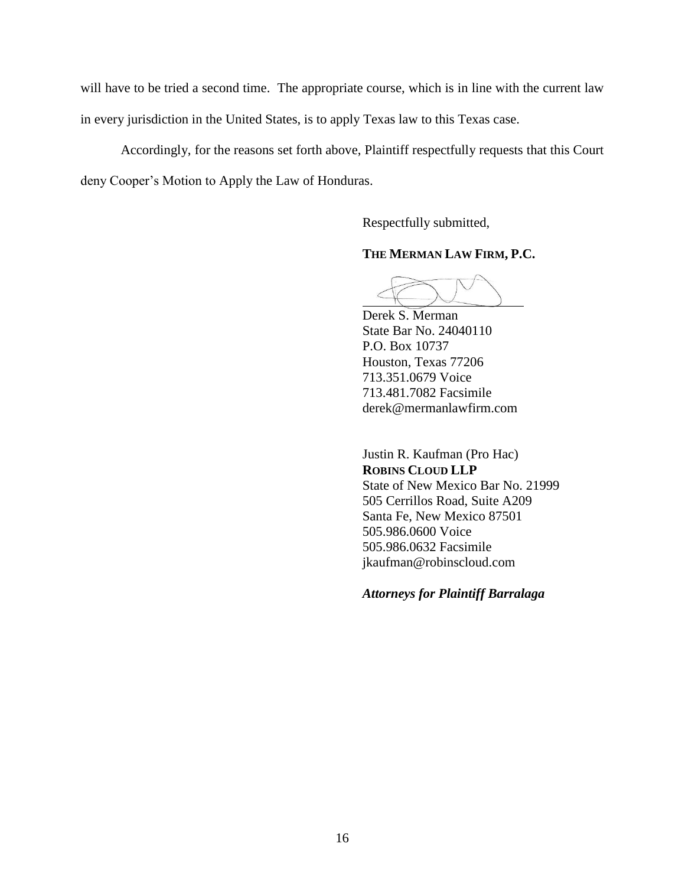will have to be tried a second time. The appropriate course, which is in line with the current law in every jurisdiction in the United States, is to apply Texas law to this Texas case.

Accordingly, for the reasons set forth above, Plaintiff respectfully requests that this Court deny Cooper's Motion to Apply the Law of Honduras.

Respectfully submitted,

### **THE MERMAN LAW FIRM, P.C.**

Derek S. Merman State Bar No. 24040110 P.O. Box 10737 Houston, Texas 77206 713.351.0679 Voice 713.481.7082 Facsimile derek@mermanlawfirm.com

Justin R. Kaufman (Pro Hac) **ROBINS CLOUD LLP** State of New Mexico Bar No. 21999 505 Cerrillos Road, Suite A209 Santa Fe, New Mexico 87501 505.986.0600 Voice 505.986.0632 Facsimile jkaufman@robinscloud.com

*Attorneys for Plaintiff Barralaga*